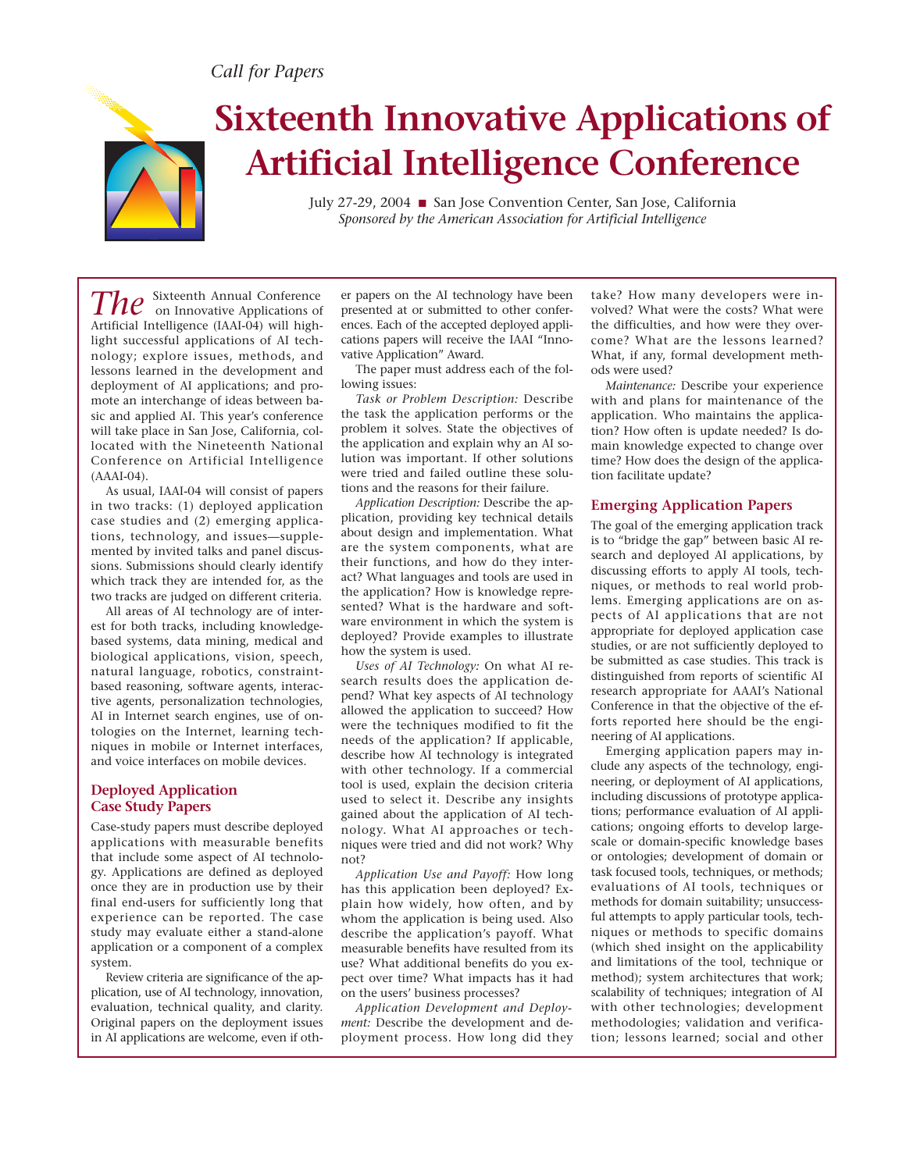# *Call for Papers*



# **Sixteenth Innovative Applications of Artificial Intelligence Conference**

July 27-29, 2004 ■ San Jose Convention Center, San Jose, California *Sponsored by the American Association for Artificial Intelligence* 

*The* Sixteenth Annual Conference on Innovative Applications of Artificial Intelligence (IAAI-04) will highlight successful applications of AI technology; explore issues, methods, and lessons learned in the development and deployment of AI applications; and promote an interchange of ideas between basic and applied AI. This year's conference will take place in San Jose, California, collocated with the Nineteenth National Conference on Artificial Intelligence (AAAI-04).

As usual, IAAI-04 will consist of papers in two tracks: (1) deployed application case studies and (2) emerging applications, technology, and issues—supplemented by invited talks and panel discussions. Submissions should clearly identify which track they are intended for, as the two tracks are judged on different criteria.

All areas of AI technology are of interest for both tracks, including knowledgebased systems, data mining, medical and biological applications, vision, speech, natural language, robotics, constraintbased reasoning, software agents, interactive agents, personalization technologies, AI in Internet search engines, use of ontologies on the Internet, learning techniques in mobile or Internet interfaces, and voice interfaces on mobile devices.

# **Deployed Application Case Study Papers**

Case-study papers must describe deployed applications with measurable benefits that include some aspect of AI technology. Applications are defined as deployed once they are in production use by their final end-users for sufficiently long that experience can be reported. The case study may evaluate either a stand-alone application or a component of a complex system.

Review criteria are significance of the application, use of AI technology, innovation, evaluation, technical quality, and clarity. Original papers on the deployment issues in AI applications are welcome, even if oth-

er papers on the AI technology have been presented at or submitted to other conferences. Each of the accepted deployed applications papers will receive the IAAI "Innovative Application" Award.

The paper must address each of the following issues:

*Task or Problem Description:* Describe the task the application performs or the problem it solves. State the objectives of the application and explain why an AI solution was important. If other solutions were tried and failed outline these solutions and the reasons for their failure.

*Application Description:* Describe the application, providing key technical details about design and implementation. What are the system components, what are their functions, and how do they interact? What languages and tools are used in the application? How is knowledge represented? What is the hardware and software environment in which the system is deployed? Provide examples to illustrate how the system is used.

*Uses of AI Technology:* On what AI research results does the application depend? What key aspects of AI technology allowed the application to succeed? How were the techniques modified to fit the needs of the application? If applicable, describe how AI technology is integrated with other technology. If a commercial tool is used, explain the decision criteria used to select it. Describe any insights gained about the application of AI technology. What AI approaches or techniques were tried and did not work? Why not?

*Application Use and Payoff:* How long has this application been deployed? Explain how widely, how often, and by whom the application is being used. Also describe the application's payoff. What measurable benefits have resulted from its use? What additional benefits do you expect over time? What impacts has it had on the users' business processes?

*Application Development and Deployment:* Describe the development and deployment process. How long did they take? How many developers were involved? What were the costs? What were the difficulties, and how were they overcome? What are the lessons learned? What, if any, formal development methods were used?

*Maintenance:* Describe your experience with and plans for maintenance of the application. Who maintains the application? How often is update needed? Is domain knowledge expected to change over time? How does the design of the application facilitate update?

### **Emerging Application Papers**

The goal of the emerging application track is to "bridge the gap" between basic AI research and deployed AI applications, by discussing efforts to apply AI tools, techniques, or methods to real world problems. Emerging applications are on aspects of AI applications that are not appropriate for deployed application case studies, or are not sufficiently deployed to be submitted as case studies. This track is distinguished from reports of scientific AI research appropriate for AAAI's National Conference in that the objective of the efforts reported here should be the engineering of AI applications.

Emerging application papers may include any aspects of the technology, engineering, or deployment of AI applications, including discussions of prototype applications; performance evaluation of AI applications; ongoing efforts to develop largescale or domain-specific knowledge bases or ontologies; development of domain or task focused tools, techniques, or methods; evaluations of AI tools, techniques or methods for domain suitability; unsuccessful attempts to apply particular tools, techniques or methods to specific domains (which shed insight on the applicability and limitations of the tool, technique or method); system architectures that work; scalability of techniques; integration of AI with other technologies; development methodologies; validation and verification; lessons learned; social and other